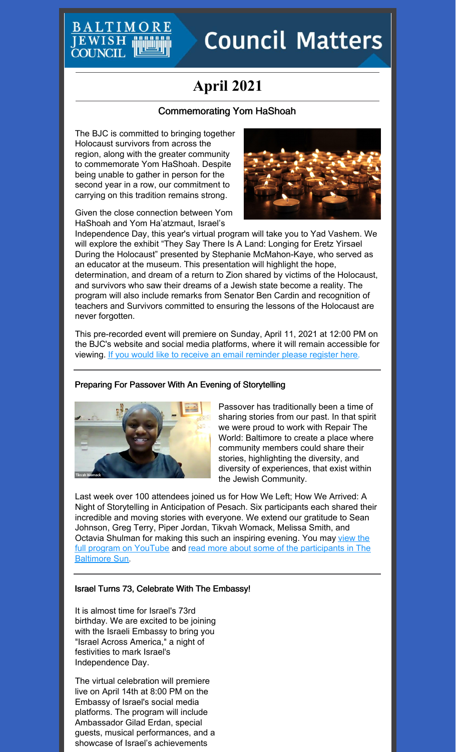# **Council Matters**

## **April 2021**

### Commemorating Yom HaShoah

The BJC is committed to bringing together Holocaust survivors from across the region, along with the greater community to commemorate Yom HaShoah. Despite being unable to gather in person for the second year in a row, our commitment to carrying on this tradition remains strong.





Independence Day, this year's virtual program will take you to Yad Vashem. We will explore the exhibit "They Say There Is A Land: Longing for Eretz Yirsael During the Holocaust" presented by Stephanie McMahon-Kaye, who served as an educator at the museum. This presentation will highlight the hope, determination, and dream of a return to Zion shared by victims of the Holocaust, and survivors who saw their dreams of a Jewish state become a reality. The program will also include remarks from Senator Ben Cardin and recognition of teachers and Survivors committed to ensuring the lessons of the Holocaust are never forgotten.

This pre-recorded event will premiere on Sunday, April 11, 2021 at 12:00 PM on the BJC's website and social media platforms, where it will remain accessible for viewing. If you would like to receive an email [reminder](https://www.baltjc.org/what-we-do/holocaust-remembrance/yom-hashoah-2021/) please register here.

#### Preparing For Passover With An Evening of Storytelling



Passover has traditionally been a time of sharing stories from our past. In that spirit we were proud to work with Repair The World: Baltimore to create a place where community members could share their stories, highlighting the diversity, and diversity of experiences, that exist within the Jewish Community.

Last week over 100 attendees joined us for How We Left; How We Arrived: A Night of Storytelling in Anticipation of Pesach. Six participants each shared their incredible and moving stories with everyone. We extend our gratitude to Sean Johnson, Greg Terry, Piper Jordan, Tikvah Womack, Melissa Smith, and Octavia Shulman for making this such an inspiring evening. You may view the full program on YouTube and read more about some of the [participants](https://www.baltimoresun.com/maryland/bs-md-jews-of-color-passover-20210326-uqmtoqsv25g6rlw6rn7siie7zy-story.html) in The Baltimore Sun.

#### Israel Turns 73, Celebrate With The Embassy!

It is almost time for Israel's 73rd birthday. We are excited to be joining with the Israeli Embassy to bring you "Israel Across America," a night of festivities to mark Israel's Independence Day.

The virtual celebration will premiere live on April 14th at 8:00 PM on the Embassy of Israel's social media platforms. The program will include Ambassador Gilad Erdan, special guests, musical performances, and a showcase of Israel's achievements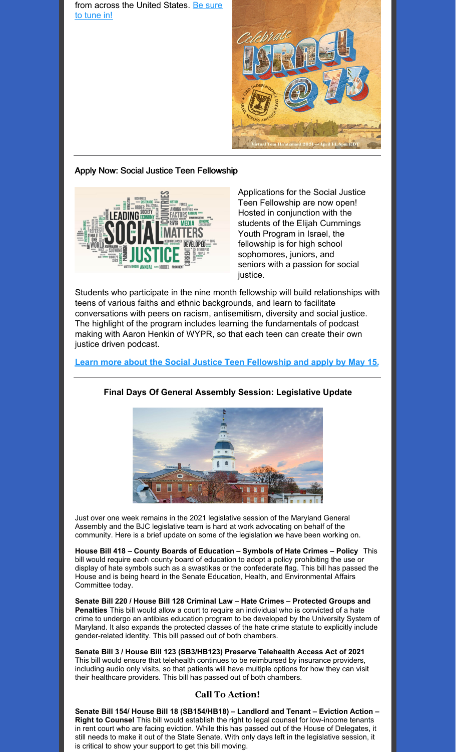from across the United [States.](http://www.bit.ly/IsraelAt73) Be sure to tune in!



#### Apply Now: Social Justice Teen Fellowship



Applications for the Social Justice Teen Fellowship are now open! Hosted in conjunction with the students of the Elijah Cummings Youth Program in Israel, the fellowship is for high school sophomores, juniors, and seniors with a passion for social justice.

Students who participate in the nine month fellowship will build relationships with teens of various faiths and ethnic backgrounds, and learn to facilitate conversations with peers on racism, antisemitism, diversity and social justice. The highlight of the program includes learning the fundamentals of podcast making with Aaron Henkin of WYPR, so that each teen can create their own justice driven podcast.

**Learn more about the Social Justice Teen [Fellowship](https://www.baltjc.org/what-we-do/community-relations/sjtf/) and apply by May 15.**



#### **Final Days Of General Assembly Session: Legislative Update**

Just over one week remains in the 2021 legislative session of the Maryland General Assembly and the BJC legislative team is hard at work advocating on behalf of the community. Here is a brief update on some of the legislation we have been working on.

**House Bill 418 – County Boards of Education – Symbols of Hate Crimes – Policy** This bill would require each county board of education to adopt a policy prohibiting the use or display of hate symbols such as a swastikas or the confederate flag. This bill has passed the House and is being heard in the Senate Education, Health, and [Environmental](http://mgaleg.maryland.gov/mgawebsite/Committees/Details?cmte=ehe&ys=2021RS) Affairs Committee today.

**Senate Bill 220 / House Bill 128 Criminal Law – Hate Crimes – Protected Groups and Penalties** This bill would allow a court to require an individual who is convicted of a hate crime to undergo an antibias education program to be developed by the University System of Maryland. It also expands the protected classes of the hate crime statute to explicitly include gender-related identity. This bill passed out of both chambers.

**Senate Bill 3 / House Bill 123 (SB3/HB123) Preserve Telehealth Access Act of 2021** This bill would ensure that telehealth continues to be reimbursed by insurance providers, including audio only visits, so that patients will have multiple options for how they can visit their healthcare providers. This bill has passed out of both chambers.

#### **Call To Action!**

**Senate Bill 154/ House Bill 18 (SB154/HB18) – Landlord and Tenant – Eviction Action – Right to Counsel** This bill would establish the right to legal counsel for low-income tenants in rent court who are facing eviction. While this has passed out of the House of Delegates, it still needs to make it out of the State Senate. With only days left in the legislative session, it is critical to show your support to get this bill moving.